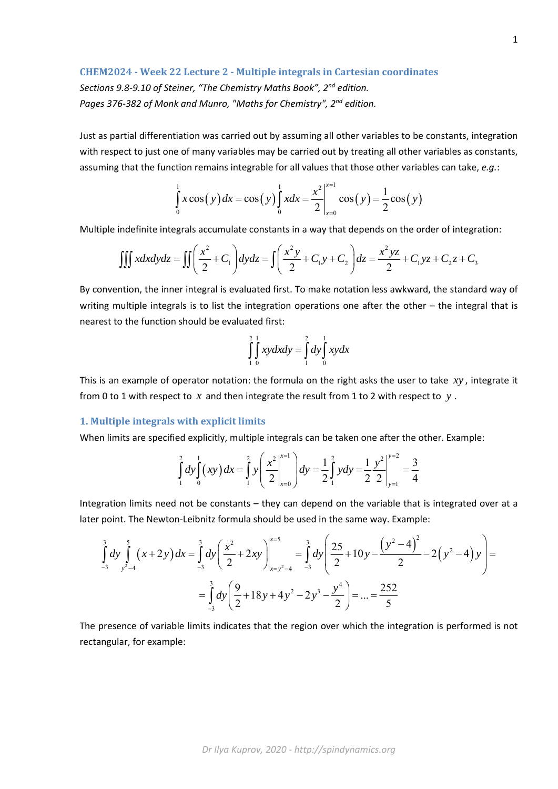## **CHEM2024 ‐ Week 22 Lecture 2 ‐ Multiple integrals in Cartesian coordinates**

*Sections 9.8‐9.10 of Steiner, "The Chemistry Maths Book", 2nd edition. Pages 376‐382 of Monk and Munro, "Maths for Chemistry", 2nd edition.* 

Just as partial differentiation was carried out by assuming all other variables to be constants, integration with respect to just one of many variables may be carried out by treating all other variables as constants, assuming that the function remains integrable for all values that those other variables can take, *e.g.*:

$$
\int_{0}^{1} x \cos(y) dx = \cos(y) \int_{0}^{1} x dx = \frac{x^{2}}{2} \Big|_{x=0}^{x=1} \cos(y) = \frac{1}{2} \cos(y)
$$

Multiple indefinite integrals accumulate constants in a way that depends on the order of integration:

$$
\iiint x dx dy dz = \iint \left( \frac{x^2}{2} + C_1 \right) dy dz = \iint \left( \frac{x^2 y}{2} + C_1 y + C_2 \right) dz = \frac{x^2 yz}{2} + C_1 yz + C_2 z + C_3
$$

By convention, the inner integral is evaluated first. To make notation less awkward, the standard way of writing multiple integrals is to list the integration operations one after the other - the integral that is nearest to the function should be evaluated first:

$$
\int_{1}^{2} \int_{0}^{1} xy dx dy = \int_{1}^{2} dy \int_{0}^{1} xy dx
$$

This is an example of operator notation: the formula on the right asks the user to take *xy* , integrate it from 0 to 1 with respect to *x* and then integrate the result from 1 to 2 with respect to *y* .

## **1. Multiple integrals with explicit limits**

When limits are specified explicitly, multiple integrals can be taken one after the other. Example:

$$
\int_{1}^{2} dy \int_{0}^{1} (xy) dx = \int_{1}^{2} y \left( \frac{x^{2}}{2} \Big|_{x=0}^{x=1} \right) dy = \frac{1}{2} \int_{1}^{2} y dy = \frac{1}{2} \frac{y^{2}}{2} \Big|_{y=1}^{y=2} = \frac{3}{4}
$$

Integration limits need not be constants – they can depend on the variable that is integrated over at a later point. The Newton‐Leibnitz formula should be used in the same way. Example:

$$
\int_{-3}^{3} dy \int_{y^2-4}^{5} (x+2y) dx = \int_{-3}^{3} dy \left( \frac{x^2}{2} + 2xy \right) \Big|_{x=y^2-4}^{x=5} = \int_{-3}^{3} dy \left( \frac{25}{2} + 10y - \frac{(y^2-4)^2}{2} - 2(y^2-4)y \right) =
$$
  
= 
$$
\int_{-3}^{3} dy \left( \frac{9}{2} + 18y + 4y^2 - 2y^3 - \frac{y^4}{2} \right) = ... = \frac{252}{5}
$$

The presence of variable limits indicates that the region over which the integration is performed is not rectangular, for example: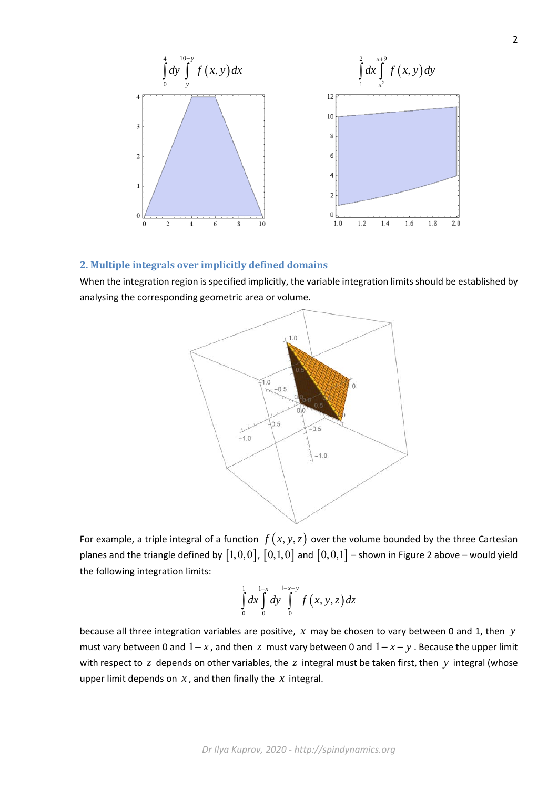

## **2. Multiple integrals over implicitly defined domains**

When the integration region is specified implicitly, the variable integration limits should be established by analysing the corresponding geometric area or volume.



For example, a triple integral of a function  $f(x, y, z)$  over the volume bounded by the three Cartesian planes and the triangle defined by  $[1,0,0]$ ,  $[0,1,0]$  and  $[0,0,1]$  – shown in Figure 2 above – would yield the following integration limits:

$$
\int_{0}^{1} dx \int_{0}^{1-x} dy \int_{0}^{1-x-y} f(x, y, z) dz
$$

because all three integration variables are positive, *x* may be chosen to vary between 0 and 1, then *y* must vary between 0 and  $1-x$ , and then  $z$  must vary between 0 and  $1-x-y$ . Because the upper limit with respect to *z* depends on other variables, the *z* integral must be taken first, then *y* integral (whose upper limit depends on *x* , and then finally the *x* integral.